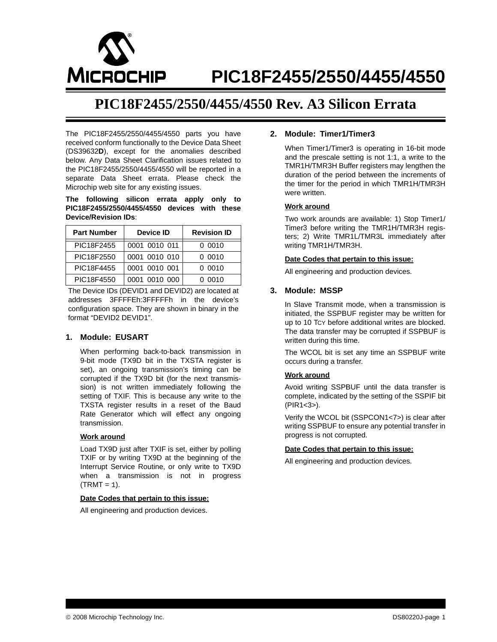

# **PIC18F2455/2550/4455/4550**

## **PIC18F2455/2550/4455/4550 Rev. A3 Silicon Errata**

The PIC18F2455/2550/4455/4550 parts you have received conform functionally to the Device Data Sheet (DS39632**D**), except for the anomalies described below. Any Data Sheet Clarification issues related to the PIC18F2455/2550/4455/4550 will be reported in a separate Data Sheet errata. Please check the Microchip web site for any existing issues.

**The following silicon errata apply only to PIC18F2455/2550/4455/4550 devices with these Device/Revision IDs**:

| <b>Part Number</b> | Device ID     | <b>Revision ID</b> |
|--------------------|---------------|--------------------|
| PIC18F2455         | 0001 0010 011 | 0.0010             |
| PIC18F2550         | 0001 0010 010 | 0.0010             |
| PIC18F4455         | 0001 0010 001 | 0.0010             |
| PIC18F4550         | 0001 0010 000 | 0.0010             |

The Device IDs (DEVID1 and DEVID2) are located at addresses 3FFFFEh:3FFFFFh in the device's configuration space. They are shown in binary in the format "DEVID2 DEVID1".

## **1. Module: EUSART**

When performing back-to-back transmission in 9-bit mode (TX9D bit in the TXSTA register is set), an ongoing transmission's timing can be corrupted if the TX9D bit (for the next transmission) is not written immediately following the setting of TXIF. This is because any write to the TXSTA register results in a reset of the Baud Rate Generator which will effect any ongoing transmission.

#### **Work around**

Load TX9D just after TXIF is set, either by polling TXIF or by writing TX9D at the beginning of the Interrupt Service Routine, or only write to TX9D when a transmission is not in progress  $(TRMT = 1)$ .

#### **Date Codes that pertain to this issue:**

All engineering and production devices.

## **2. Module: Timer1/Timer3**

When Timer1/Timer3 is operating in 16-bit mode and the prescale setting is not 1:1, a write to the TMR1H/TMR3H Buffer registers may lengthen the duration of the period between the increments of the timer for the period in which TMR1H/TMR3H were written.

#### **Work around**

Two work arounds are available: 1) Stop Timer1/ Timer3 before writing the TMR1H/TMR3H registers; 2) Write TMR1L/TMR3L immediately after writing TMR1H/TMR3H.

#### **Date Codes that pertain to this issue:**

All engineering and production devices.

## **3. Module: MSSP**

In Slave Transmit mode, when a transmission is initiated, the SSPBUF register may be written for up to 10 TCY before additional writes are blocked. The data transfer may be corrupted if SSPBUF is written during this time.

The WCOL bit is set any time an SSPBUF write occurs during a transfer.

#### **Work around**

Avoid writing SSPBUF until the data transfer is complete, indicated by the setting of the SSPIF bit (PIR1<3>).

Verify the WCOL bit (SSPCON1<7>) is clear after writing SSPBUF to ensure any potential transfer in progress is not corrupted.

#### **Date Codes that pertain to this issue:**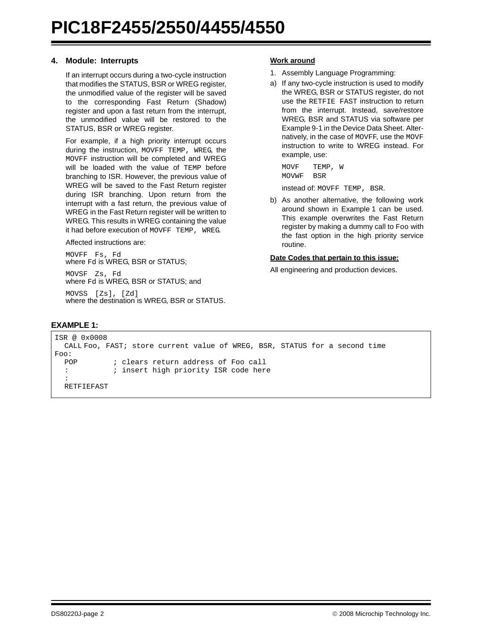## <span id="page-1-1"></span>**4. Module: Interrupts**

If an interrupt occurs during a two-cycle instruction that modifies the STATUS, BSR or WREG register, the unmodified value of the register will be saved to the corresponding Fast Return (Shadow) register and upon a fast return from the interrupt, the unmodified value will be restored to the STATUS, BSR or WREG register.

For example, if a high priority interrupt occurs during the instruction, MOVFF TEMP, WREG, the MOVFF instruction will be completed and WREG will be loaded with the value of TEMP before branching to ISR. However, the previous value of WREG will be saved to the Fast Return register during ISR branching. Upon return from the interrupt with a fast return, the previous value of WREG in the Fast Return register will be written to WREG. This results in WREG containing the value it had before execution of MOVFF TEMP, WREG.

Affected instructions are:

MOVFF Fs, Fd where Fd is WREG, BSR or STATUS;

MOVSF Zs, Fd where Fd is WREG, BSR or STATUS; and

MOVSS [Zs], [Zd] where the destination is WREG, BSR or STATUS.

## **Work around**

- 1. Assembly Language Programming:
- a) If any two-cycle instruction is used to modify the WREG, BSR or STATUS register, do not use the RETFIE FAST instruction to return from the interrupt. Instead, save/restore WREG, BSR and STATUS via software per Example 9-1 in the Device Data Sheet. Alternatively, in the case of MOVFF, use the MOVF instruction to write to WREG instead. For example, use:

MOVF TEMP, W MOVWF BSR

instead of: MOVFF TEMP, BSR.

b) As another alternative, the following work around shown in [Example 1](#page-1-0) can be used. This example overwrites the Fast Return register by making a dummy call to Foo with the fast option in the high priority service routine.

## **Date Codes that pertain to this issue:**

```
EXAMPLE 1:
```

```
ISR @ 0x0008
  CALL Foo, FAST; store current value of WREG, BSR, STATUS for a second time
Foo:
 POP ; clears return address of Foo call
  : ; insert high priority ISR code here
  :
  RETFIEFAST
```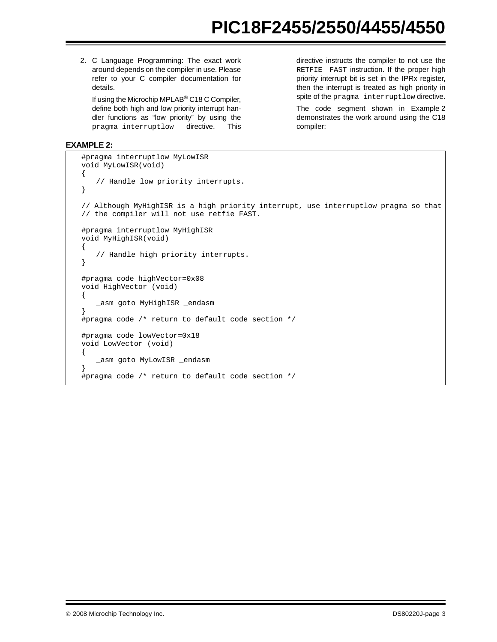2. C Language Programming: The exact work around depends on the compiler in use. Please refer to your C compiler documentation for details.

If using the Microchip MPLAB® C18 C Compiler, define both high and low priority interrupt handler functions as "low priority" by using the pragma interruptlow directive. This directive instructs the compiler to not use the RETFIE FAST instruction. If the proper high priority interrupt bit is set in the IPRx register, then the interrupt is treated as high priority in spite of the pragma interruptlow directive.

The code segment shown in [Example 2](#page-2-0) demonstrates the work around using the C18 compiler:

## <span id="page-2-0"></span>**EXAMPLE 2:**

```
#pragma interruptlow MyLowISR
void MyLowISR(void)
{
   // Handle low priority interrupts.
}
// Although MyHighISR is a high priority interrupt, use interruptlow pragma so that
// the compiler will not use retfie FAST.
#pragma interruptlow MyHighISR
void MyHighISR(void)
{
   // Handle high priority interrupts.
}
#pragma code highVector=0x08
void HighVector (void)
{
   _asm goto MyHighISR _endasm
}
#pragma code /* return to default code section */
#pragma code lowVector=0x18
void LowVector (void)
{
   _asm goto MyLowISR _endasm
}
#pragma code /* return to default code section */
```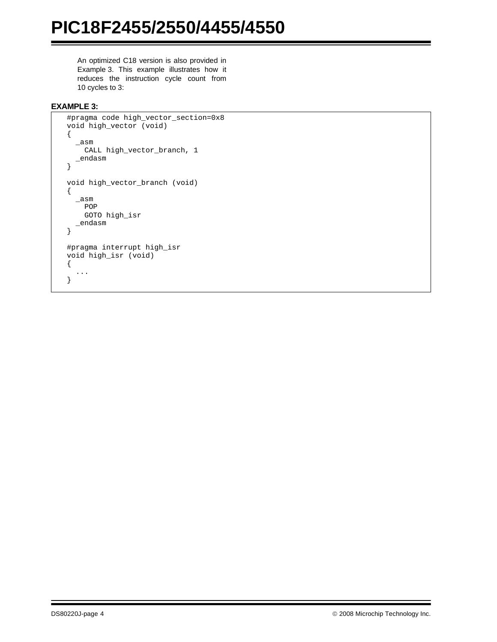An optimized C18 version is also provided in [Example 3.](#page-3-0) This example illustrates how it reduces the instruction cycle count from 10 cycles to 3:

## <span id="page-3-0"></span>**EXAMPLE 3:**

```
#pragma code high_vector_section=0x8
void high_vector (void)
{
  \_asm
    CALL high_vector_branch, 1
   _endasm
}
void high_vector_branch (void)
{
   _asm
     POP
     GOTO high_isr
   _endasm
}
#pragma interrupt high_isr
void high_isr (void)
{
   ...
}
```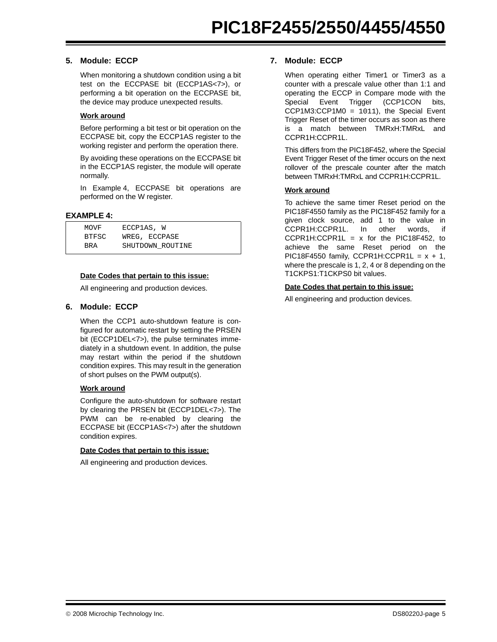## **5. Module: ECCP**

When monitoring a shutdown condition using a bit test on the ECCPASE bit (ECCP1AS<7>), or performing a bit operation on the ECCPASE bit, the device may produce unexpected results.

## **Work around**

Before performing a bit test or bit operation on the ECCPASE bit, copy the ECCP1AS register to the working register and perform the operation there.

By avoiding these operations on the ECCPASE bit in the ECCP1AS register, the module will operate normally.

In [Example 4,](#page-4-0) ECCPASE bit operations are performed on the W register.

#### <span id="page-4-0"></span>**EXAMPLE 4:**

| MOVF       | ECCP1AS, W       |
|------------|------------------|
| BTFSC      | WREG, ECCPASE    |
| <b>BRA</b> | SHUTDOWN ROUTINE |

#### **Date Codes that pertain to this issue:**

All engineering and production devices.

## **6. Module: ECCP**

When the CCP1 auto-shutdown feature is configured for automatic restart by setting the PRSEN bit (ECCP1DEL<7>), the pulse terminates immediately in a shutdown event. In addition, the pulse may restart within the period if the shutdown condition expires. This may result in the generation of short pulses on the PWM output(s).

## **Work around**

Configure the auto-shutdown for software restart by clearing the PRSEN bit (ECCP1DEL<7>). The PWM can be re-enabled by clearing the ECCPASE bit (ECCP1AS<7>) after the shutdown condition expires.

#### **Date Codes that pertain to this issue:**

All engineering and production devices.

## **7. Module: ECCP**

When operating either Timer1 or Timer3 as a counter with a prescale value other than 1:1 and operating the ECCP in Compare mode with the Special Event Trigger (CCP1CON bits, CCP1M3:CCP1M0 = 1011), the Special Event Trigger Reset of the timer occurs as soon as there is a match between TMRxH:TMRxL and CCPR1H:CCPR1L.

This differs from the PIC18F452, where the Special Event Trigger Reset of the timer occurs on the next rollover of the prescale counter after the match between TMRxH:TMRxL and CCPR1H:CCPR1L.

## **Work around**

To achieve the same timer Reset period on the PIC18F4550 family as the PIC18F452 family for a given clock source, add 1 to the value in CCPR1H:CCPR1L. In other words, if  $CCPR1H:CCPR1L = x$  for the PIC18F452, to achieve the same Reset period on the PIC18F4550 family, CCPR1H:CCPR1L =  $x + 1$ , where the prescale is 1, 2, 4 or 8 depending on the T1CKPS1:T1CKPS0 bit values.

#### **Date Codes that pertain to this issue:**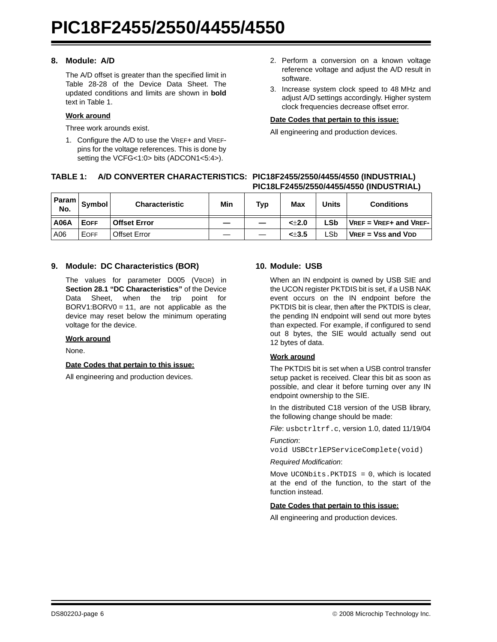## **8. Module: A/D**

The A/D offset is greater than the specified limit in Table 28-28 of the Device Data Sheet. The updated conditions and limits are shown in **bold** text in [Table 1](#page-5-0).

## **Work around**

Three work arounds exist.

1. Configure the A/D to use the VREF+ and VREFpins for the voltage references. This is done by setting the VCFG<1:0> bits (ADCON1<5:4>).

- 2. Perform a conversion on a known voltage reference voltage and adjust the A/D result in software.
- 3. Increase system clock speed to 48 MHz and adjust A/D settings accordingly. Higher system clock frequencies decrease offset error.

#### **Date Codes that pertain to this issue:**

All engineering and production devices.

## <span id="page-5-0"></span>**TABLE 1: A/D CONVERTER CHARACTERISTICS: PIC18F2455/2550/4455/4550 (INDUSTRIAL) PIC18LF2455/2550/4455/4550 (INDUSTRIAL)**

| Param<br>No. | <b>Symbol</b> | <b>Characteristic</b> | Min | <b>Typ</b> | Max   | Units | <b>Conditions</b>          |
|--------------|---------------|-----------------------|-----|------------|-------|-------|----------------------------|
| <b>A06A</b>  | <b>EOFF</b>   | <b>Offset Error</b>   |     |            | < 2.0 | LSb   | $VREF = VREF+$ and $VREF-$ |
| A06          | <b>EOFF</b>   | Offset Error          |     |            | < 3.5 | _Sb_  | $VREF = VSS$ and $VDD$     |

## **9. Module: DC Characteristics (BOR)**

The values for parameter D005 (VBOR) in **Section 28.1 "DC Characteristics"** of the Device Data Sheet, when the trip point for BORV1:BORV0 =  $11$ , are not applicable as the device may reset below the minimum operating voltage for the device.

#### **Work around**

None.

#### **Date Codes that pertain to this issue:**

All engineering and production devices.

## **10. Module: USB**

When an IN endpoint is owned by USB SIE and the UCON register PKTDIS bit is set, if a USB NAK event occurs on the IN endpoint before the PKTDIS bit is clear, then after the PKTDIS is clear, the pending IN endpoint will send out more bytes than expected. For example, if configured to send out 8 bytes, the SIE would actually send out 12 bytes of data.

## **Work around**

The PKTDIS bit is set when a USB control transfer setup packet is received. Clear this bit as soon as possible, and clear it before turning over any IN endpoint ownership to the SIE.

In the distributed C18 version of the USB library, the following change should be made:

*File*: usbctrltrf.c, version 1.0, dated 11/19/04

*Function*:

void USBCtrlEPServiceComplete(void)

#### *Required Modification*:

Move  $UCONbits.PKTDIS = 0$ , which is located at the end of the function, to the start of the function instead.

#### **Date Codes that pertain to this issue:**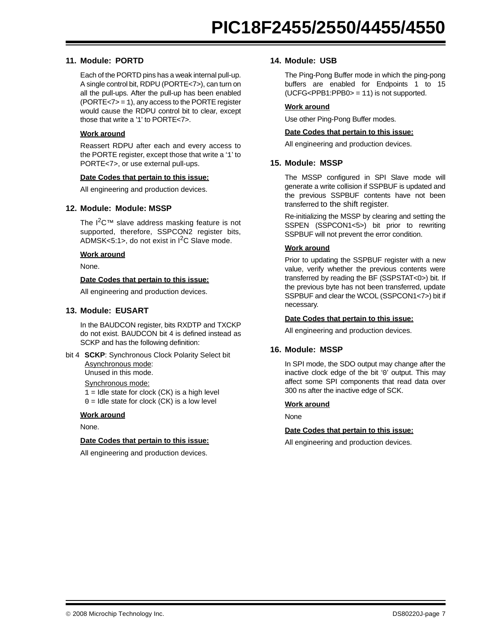## **11. Module: PORTD**

Each of the PORTD pins has a weak internal pull-up. A single control bit, RDPU (PORTE<7>), can turn on all the pull-ups. After the pull-up has been enabled (PORTE<7> = 1), any access to the PORTE register would cause the RDPU control bit to clear, except those that write a '1' to PORTE<7>.

#### **Work around**

Reassert RDPU after each and every access to the PORTE register, except those that write a '1' to PORTE<7>, or use external pull-ups.

#### **Date Codes that pertain to this issue:**

All engineering and production devices.

#### **12. Module: Module: MSSP**

The  $1^2C^™$  slave address masking feature is not supported, therefore, SSPCON2 register bits, ADMSK<5:1>, do not exist in  $I^2C$  Slave mode.

## **Work around**

None.

#### **Date Codes that pertain to this issue:**

All engineering and production devices.

#### **13. Module: EUSART**

In the BAUDCON register, bits RXDTP and TXCKP do not exist. BAUDCON bit 4 is defined instead as SCKP and has the following definition:

bit 4 **SCKP**: Synchronous Clock Polarity Select bit Asynchronous mode:

Unused in this mode.

Synchronous mode:

 $1 =$  Idle state for clock (CK) is a high level

 $0 =$  Idle state for clock (CK) is a low level

#### **Work around**

None.

## **Date Codes that pertain to this issue:**

All engineering and production devices.

#### **14. Module: USB**

The Ping-Pong Buffer mode in which the ping-pong buffers are enabled for Endpoints 1 to 15 (UCFG<PPB1:PPB0> = 11) is not supported.

#### **Work around**

Use other Ping-Pong Buffer modes.

#### **Date Codes that pertain to this issue:**

All engineering and production devices.

#### **15. Module: MSSP**

The MSSP configured in SPI Slave mode will generate a write collision if SSPBUF is updated and the previous SSPBUF contents have not been transferred to the shift register.

Re-initializing the MSSP by clearing and setting the SSPEN (SSPCON1<5>) bit prior to rewriting SSPBUF will not prevent the error condition.

#### **Work around**

Prior to updating the SSPBUF register with a new value, verify whether the previous contents were transferred by reading the BF (SSPSTAT<0>) bit. If the previous byte has not been transferred, update SSPBUF and clear the WCOL (SSPCON1<7>) bit if necessary.

#### **Date Codes that pertain to this issue:**

All engineering and production devices.

#### **16. Module: MSSP**

In SPI mode, the SDO output may change after the inactive clock edge of the bit '0' output. This may affect some SPI components that read data over 300 ns after the inactive edge of SCK.

#### **Work around**

None

#### **Date Codes that pertain to this issue:**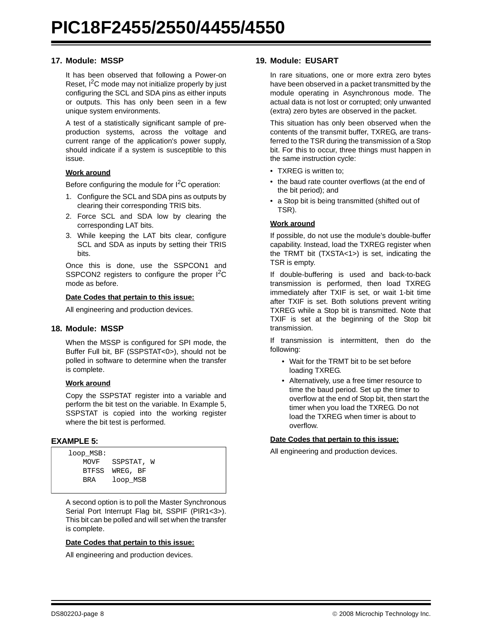## **17. Module: MSSP**

It has been observed that following a Power-on Reset,  $I^2C$  mode may not initialize properly by just configuring the SCL and SDA pins as either inputs or outputs. This has only been seen in a few unique system environments.

A test of a statistically significant sample of preproduction systems, across the voltage and current range of the application's power supply, should indicate if a system is susceptible to this issue.

## **Work around**

Before configuring the module for  $1^2C$  operation:

- 1. Configure the SCL and SDA pins as outputs by clearing their corresponding TRIS bits.
- 2. Force SCL and SDA low by clearing the corresponding LAT bits.
- 3. While keeping the LAT bits clear, configure SCL and SDA as inputs by setting their TRIS bits.

Once this is done, use the SSPCON1 and SSPCON2 registers to configure the proper I<sup>2</sup>C mode as before.

#### **Date Codes that pertain to this issue:**

All engineering and production devices.

#### **18. Module: MSSP**

When the MSSP is configured for SPI mode, the Buffer Full bit, BF (SSPSTAT<0>), should not be polled in software to determine when the transfer is complete.

#### **Work around**

Copy the SSPSTAT register into a variable and perform the bit test on the variable. In [Example 5](#page-7-0), SSPSTAT is copied into the working register where the bit test is performed.

#### <span id="page-7-0"></span>**EXAMPLE 5:**

| loop MSB: |                 |  |  |  |
|-----------|-----------------|--|--|--|
|           | MOVF SSPSTAT, W |  |  |  |
|           | BTFSS WREG, BF  |  |  |  |
| BRA       | loop MSB        |  |  |  |
|           |                 |  |  |  |

A second option is to poll the Master Synchronous Serial Port Interrupt Flag bit, SSPIF (PIR1<3>). This bit can be polled and will set when the transfer is complete.

#### **Date Codes that pertain to this issue:**

All engineering and production devices.

#### **19. Module: EUSART**

In rare situations, one or more extra zero bytes have been observed in a packet transmitted by the module operating in Asynchronous mode. The actual data is not lost or corrupted; only unwanted (extra) zero bytes are observed in the packet.

This situation has only been observed when the contents of the transmit buffer, TXREG, are transferred to the TSR during the transmission of a Stop bit. For this to occur, three things must happen in the same instruction cycle:

- TXREG is written to;
- the baud rate counter overflows (at the end of the bit period); and
- a Stop bit is being transmitted (shifted out of TSR).

#### **Work around**

If possible, do not use the module's double-buffer capability. Instead, load the TXREG register when the TRMT bit (TXSTA<1>) is set, indicating the TSR is empty.

If double-buffering is used and back-to-back transmission is performed, then load TXREG immediately after TXIF is set, or wait 1-bit time after TXIF is set. Both solutions prevent writing TXREG while a Stop bit is transmitted. Note that TXIF is set at the beginning of the Stop bit transmission.

If transmission is intermittent, then do the following:

- Wait for the TRMT bit to be set before loading TXREG.
- Alternatively, use a free timer resource to time the baud period. Set up the timer to overflow at the end of Stop bit, then start the timer when you load the TXREG. Do not load the TXREG when timer is about to overflow.

## **Date Codes that pertain to this issue:**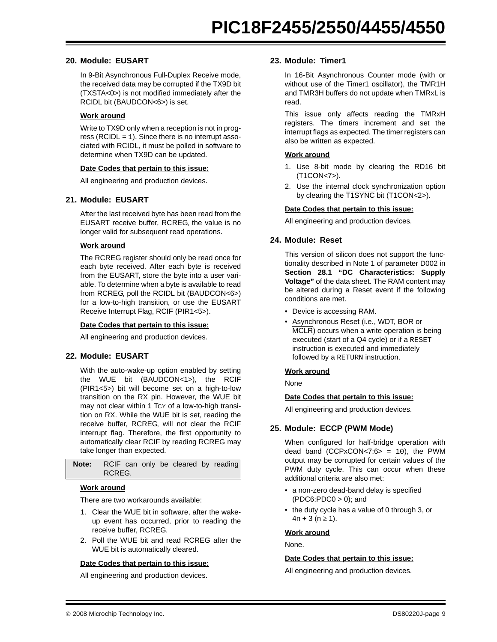## **20. Module: EUSART**

In 9-Bit Asynchronous Full-Duplex Receive mode, the received data may be corrupted if the TX9D bit (TXSTA<0>) is not modified immediately after the RCIDL bit (BAUDCON<6>) is set.

## **Work around**

Write to TX9D only when a reception is not in progress (RCIDL  $=$  1). Since there is no interrupt associated with RCIDL, it must be polled in software to determine when TX9D can be updated.

#### **Date Codes that pertain to this issue:**

All engineering and production devices.

## **21. Module: EUSART**

After the last received byte has been read from the EUSART receive buffer, RCREG, the value is no longer valid for subsequent read operations.

#### **Work around**

The RCREG register should only be read once for each byte received. After each byte is received from the EUSART, store the byte into a user variable. To determine when a byte is available to read from RCREG, poll the RCIDL bit (BAUDCON<6>) for a low-to-high transition, or use the EUSART Receive Interrupt Flag, RCIF (PIR1<5>).

#### **Date Codes that pertain to this issue:**

All engineering and production devices.

## **22. Module: EUSART**

With the auto-wake-up option enabled by setting the WUE bit (BAUDCON<1>), the RCIF (PIR1<5>) bit will become set on a high-to-low transition on the RX pin. However, the WUE bit may not clear within 1 TCY of a low-to-high transition on RX. While the WUE bit is set, reading the receive buffer, RCREG, will not clear the RCIF interrupt flag. Therefore, the first opportunity to automatically clear RCIF by reading RCREG may take longer than expected.

| <b>Note:</b> RCIF can only be cleared by reading |  |  |  |
|--------------------------------------------------|--|--|--|
| RCREG.                                           |  |  |  |

#### **Work around**

There are two workarounds available:

- 1. Clear the WUE bit in software, after the wakeup event has occurred, prior to reading the receive buffer, RCREG.
- 2. Poll the WUE bit and read RCREG after the WUE bit is automatically cleared.

#### **Date Codes that pertain to this issue:**

All engineering and production devices.

## **23. Module: Timer1**

In 16-Bit Asynchronous Counter mode (with or without use of the Timer1 oscillator), the TMR1H and TMR3H buffers do not update when TMRxL is read.

This issue only affects reading the TMRxH registers. The timers increment and set the interrupt flags as expected. The timer registers can also be written as expected.

#### **Work around**

- 1. Use 8-bit mode by clearing the RD16 bit (T1CON<7>).
- 2. Use the internal clock synchronization option by clearing the T1SYNC bit (T1CON<2>).

#### **Date Codes that pertain to this issue:**

All engineering and production devices.

## **24. Module: Reset**

This version of silicon does not support the functionality described in Note 1 of parameter D002 in **Section 28.1 "DC Characteristics: Supply Voltage"** of the data sheet. The RAM content may be altered during a Reset event if the following conditions are met.

- Device is accessing RAM.
- Asynchronous Reset (i.e., WDT, BOR or MCLR) occurs when a write operation is being executed (start of a Q4 cycle) or if a RESET instruction is executed and immediately followed by a RETURN instruction.

#### **Work around**

None

#### **Date Codes that pertain to this issue:**

All engineering and production devices.

## **25. Module: ECCP (PWM Mode)**

When configured for half-bridge operation with dead band (CCPxCON<7:6> = 10), the PWM output may be corrupted for certain values of the PWM duty cycle. This can occur when these additional criteria are also met:

- a non-zero dead-band delay is specified  $(PDC6:PDC0 > 0)$ ; and
- the duty cycle has a value of 0 through 3, or  $4n + 3 (n \ge 1)$ .

#### **Work around**

None.

#### **Date Codes that pertain to this issue:**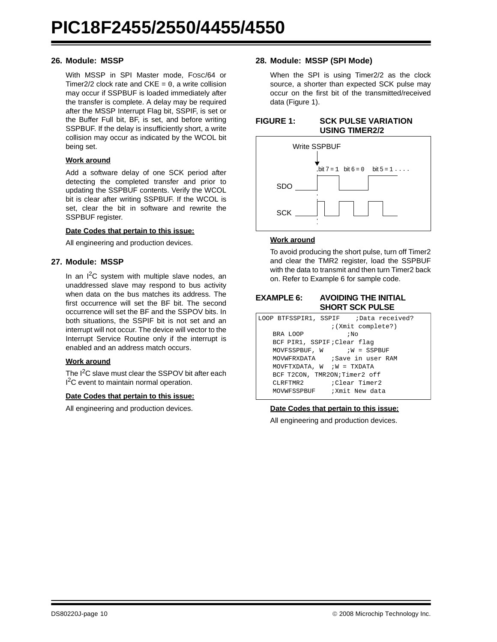## **26. Module: MSSP**

With MSSP in SPI Master mode, FOSC/64 or Timer2/2 clock rate and  $CKE = 0$ , a write collision may occur if SSPBUF is loaded immediately after the transfer is complete. A delay may be required after the MSSP Interrupt Flag bit, SSPIF, is set or the Buffer Full bit, BF, is set, and before writing SSPBUF. If the delay is insufficiently short, a write collision may occur as indicated by the WCOL bit being set.

#### **Work around**

Add a software delay of one SCK period after detecting the completed transfer and prior to updating the SSPBUF contents. Verify the WCOL bit is clear after writing SSPBUF. If the WCOL is set, clear the bit in software and rewrite the SSPBUF register.

#### **Date Codes that pertain to this issue:**

All engineering and production devices.

## **27. Module: MSSP**

In an  $I^2C$  system with multiple slave nodes, an unaddressed slave may respond to bus activity when data on the bus matches its address. The first occurrence will set the BF bit. The second occurrence will set the BF and the SSPOV bits. In both situations, the SSPIF bit is not set and an interrupt will not occur. The device will vector to the Interrupt Service Routine only if the interrupt is enabled and an address match occurs.

#### **Work around**

The  $I^2C$  slave must clear the SSPOV bit after each I<sup>2</sup>C event to maintain normal operation.

#### **Date Codes that pertain to this issue:**

All engineering and production devices.

## **28. Module: MSSP (SPI Mode)**

When the SPI is using Timer2/2 as the clock source, a shorter than expected SCK pulse may occur on the first bit of the transmitted/received data ([Figure 1\)](#page-9-0).

<span id="page-9-0"></span>

| <b>FIGURE 1:</b> | <b>SCK PULSE VARIATION</b> |
|------------------|----------------------------|
|                  | <b>USING TIMER2/2</b>      |



#### **Work around**

To avoid producing the short pulse, turn off Timer2 and clear the TMR2 register, load the SSPBUF with the data to transmit and then turn Timer2 back on. Refer to [Example 6](#page-9-1) for sample code.

## <span id="page-9-1"></span>**EXAMPLE 6: AVOIDING THE INITIAL SHORT SCK PULSE**

|                                | LOOP BTFSSPIR1, SSPIF ; Data received? |
|--------------------------------|----------------------------------------|
|                                | ; (Xmit complete?)                     |
| BRA LOOP                       | ; No                                   |
| BCF PIR1, SSPIF; Clear flag    |                                        |
|                                | $MOVFSSPBUF$ , $W$ ; $W = SSPBUF$      |
|                                | MOVWFRXDATA : Save in user RAM         |
| MOVFTXDATA, $W$ ; $W = TXDATA$ |                                        |
| BCF T2CON, TMR2ON; Timer2 off  |                                        |
| $CLRFTMR2$ : $Clear$ Timer2    |                                        |
| MOVWFSSPBUF ; Xmit New data    |                                        |

#### **Date Codes that pertain to this issue:**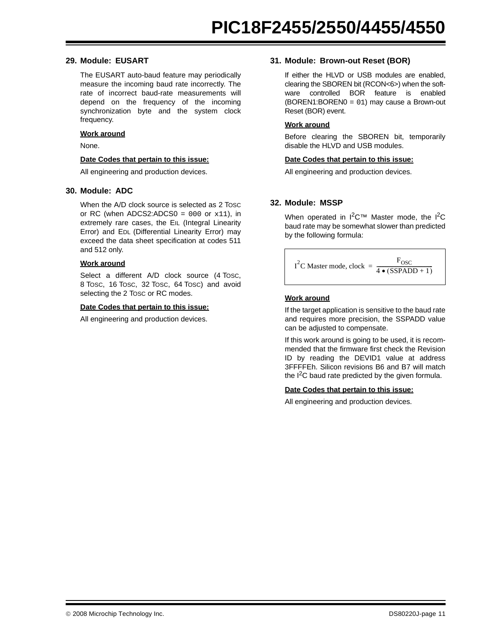## **29. Module: EUSART**

The EUSART auto-baud feature may periodically measure the incoming baud rate incorrectly. The rate of incorrect baud-rate measurements will depend on the frequency of the incoming synchronization byte and the system clock frequency.

## **Work around**

None.

#### **Date Codes that pertain to this issue:**

All engineering and production devices.

#### **30. Module: ADC**

When the A/D clock source is selected as 2 TOSC or RC (when ADCS2:ADCS0 =  $000$  or  $x11$ ), in extremely rare cases, the EIL (Integral Linearity Error) and EDL (Differential Linearity Error) may exceed the data sheet specification at codes 511 and 512 only.

#### **Work around**

Select a different A/D clock source (4 Tosc, 8 TOSC, 16 TOSC, 32 TOSC, 64 TOSC) and avoid selecting the 2 TOSC or RC modes.

#### **Date Codes that pertain to this issue:**

All engineering and production devices.

## **31. Module: Brown-out Reset (BOR)**

If either the HLVD or USB modules are enabled, clearing the SBOREN bit (RCON<6>) when the software controlled BOR feature is enabled (BOREN1:BOREN0 = 01) may cause a Brown-out Reset (BOR) event.

#### **Work around**

Before clearing the SBOREN bit, temporarily disable the HLVD and USB modules.

#### **Date Codes that pertain to this issue:**

All engineering and production devices.

## **32. Module: MSSP**

When operated in  $1^2C^{\tau}$  Master mode, the  $1^2C$ baud rate may be somewhat slower than predicted by the following formula:

$$
I^{2}C \text{ Master mode, clock} = \frac{F_{\text{OSC}}}{4 \cdot (SSPADD + 1)}
$$

## **Work around**

If the target application is sensitive to the baud rate and requires more precision, the SSPADD value can be adjusted to compensate.

If this work around is going to be used, it is recommended that the firmware first check the Revision ID by reading the DEVID1 value at address 3FFFFEh. Silicon revisions B6 and B7 will match the  $I^2C$  baud rate predicted by the given formula.

#### **Date Codes that pertain to this issue:**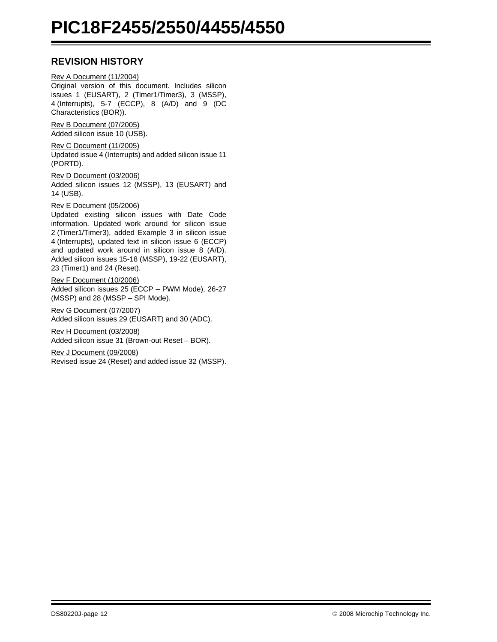## **REVISION HISTORY**

Rev A Document (11/2004) Original version of this document. Includes silicon issues 1 (EUSART), 2 (Timer1/Timer3), 3 (MSSP), 4 (Interrupts), 5-7 (ECCP), 8 (A/D) and 9 (DC Characteristics (BOR)).

Rev B Document (07/2005) Added silicon issue 10 (USB).

Rev C Document (11/2005) Updated issue 4 [\(Interrupts](#page-1-1)) and added silicon issue 11 (PORTD).

Rev D Document (03/2006) Added silicon issues 12 (MSSP), 13 (EUSART) and 14 (USB).

Rev E Document (05/2006)

Updated existing silicon issues with Date Code information. Updated work around for silicon issue 2 (Timer1/Timer3), added Example 3 in silicon issue 4 (Interrupts), updated text in silicon issue 6 (ECCP) and updated work around in silicon issue 8 (A/D). Added silicon issues 15-18 (MSSP), 19-22 (EUSART), 23 (Timer1) and 24 (Reset).

Rev F Document (10/2006) Added silicon issues 25 (ECCP – PWM Mode), 26-27 (MSSP) and 28 (MSSP – SPI Mode).

Rev G Document (07/2007) Added silicon issues 29 (EUSART) and 30 (ADC).

Rev H Document (03/2008) Added silicon issue 31 (Brown-out Reset – BOR).

Rev J Document (09/2008) Revised issue 24 (Reset) and added issue 32 (MSSP).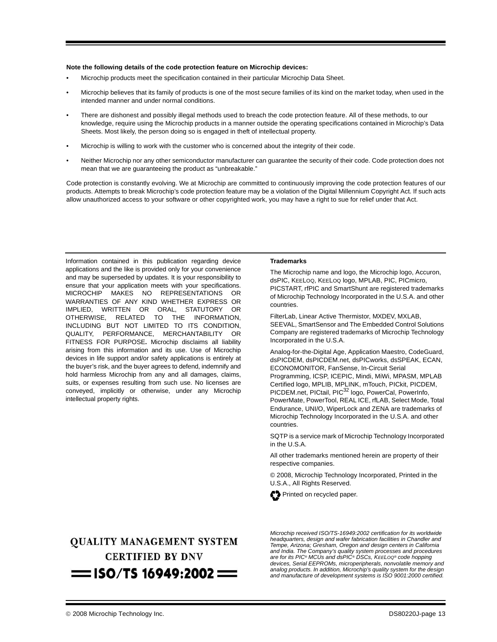#### **Note the following details of the code protection feature on Microchip devices:**

- Microchip products meet the specification contained in their particular Microchip Data Sheet.
- Microchip believes that its family of products is one of the most secure families of its kind on the market today, when used in the intended manner and under normal conditions.
- There are dishonest and possibly illegal methods used to breach the code protection feature. All of these methods, to our knowledge, require using the Microchip products in a manner outside the operating specifications contained in Microchip's Data Sheets. Most likely, the person doing so is engaged in theft of intellectual property.
- Microchip is willing to work with the customer who is concerned about the integrity of their code.
- Neither Microchip nor any other semiconductor manufacturer can guarantee the security of their code. Code protection does not mean that we are guaranteeing the product as "unbreakable."

Code protection is constantly evolving. We at Microchip are committed to continuously improving the code protection features of our products. Attempts to break Microchip's code protection feature may be a violation of the Digital Millennium Copyright Act. If such acts allow unauthorized access to your software or other copyrighted work, you may have a right to sue for relief under that Act.

Information contained in this publication regarding device applications and the like is provided only for your convenience and may be superseded by updates. It is your responsibility to ensure that your application meets with your specifications. MICROCHIP MAKES NO REPRESENTATIONS OR WARRANTIES OF ANY KIND WHETHER EXPRESS OR IMPLIED, WRITTEN OR ORAL, STATUTORY OR OTHERWISE, RELATED TO THE INFORMATION, INCLUDING BUT NOT LIMITED TO ITS CONDITION, QUALITY, PERFORMANCE, MERCHANTABILITY OR FITNESS FOR PURPOSE**.** Microchip disclaims all liability arising from this information and its use. Use of Microchip devices in life support and/or safety applications is entirely at the buyer's risk, and the buyer agrees to defend, indemnify and hold harmless Microchip from any and all damages, claims, suits, or expenses resulting from such use. No licenses are conveyed, implicitly or otherwise, under any Microchip intellectual property rights.

#### **Trademarks**

The Microchip name and logo, the Microchip logo, Accuron, dsPIC, KEELOQ, KEELOQ logo, MPLAB, PIC, PICmicro, PICSTART, rfPIC and SmartShunt are registered trademarks of Microchip Technology Incorporated in the U.S.A. and other countries.

FilterLab, Linear Active Thermistor, MXDEV, MXLAB, SEEVAL, SmartSensor and The Embedded Control Solutions Company are registered trademarks of Microchip Technology Incorporated in the U.S.A.

Analog-for-the-Digital Age, Application Maestro, CodeGuard, dsPICDEM, dsPICDEM.net, dsPICworks, dsSPEAK, ECAN, ECONOMONITOR, FanSense, In-Circuit Serial Programming, ICSP, ICEPIC, Mindi, MiWi, MPASM, MPLAB Certified logo, MPLIB, MPLINK, mTouch, PICkit, PICDEM, PICDEM.net, PICtail, PIC<sup>32</sup> logo, PowerCal, PowerInfo, PowerMate, PowerTool, REAL ICE, rfLAB, Select Mode, Total Endurance, UNI/O, WiperLock and ZENA are trademarks of Microchip Technology Incorporated in the U.S.A. and other countries.

SQTP is a service mark of Microchip Technology Incorporated in the U.S.A.

All other trademarks mentioned herein are property of their respective companies.

© 2008, Microchip Technology Incorporated, Printed in the U.S.A., All Rights Reserved.



## **QUALITY MANAGEMENT SYSTEM CERTIFIED BY DNV**  $=$  ISO/TS 16949:2002  $=$

*Microchip received ISO/TS-16949:2002 certification for its worldwide headquarters, design and wafer fabrication facilities in Chandler and Tempe, Arizona; Gresham, Oregon and design centers in California and India. The Company's quality system processes and procedures are for its PIC® MCUs and dsPIC® DSCs, KEELOQ® code hopping devices, Serial EEPROMs, microperipherals, nonvolatile memory and analog products. In addition, Microchip's quality system for the design and manufacture of development systems is ISO 9001:2000 certified.*